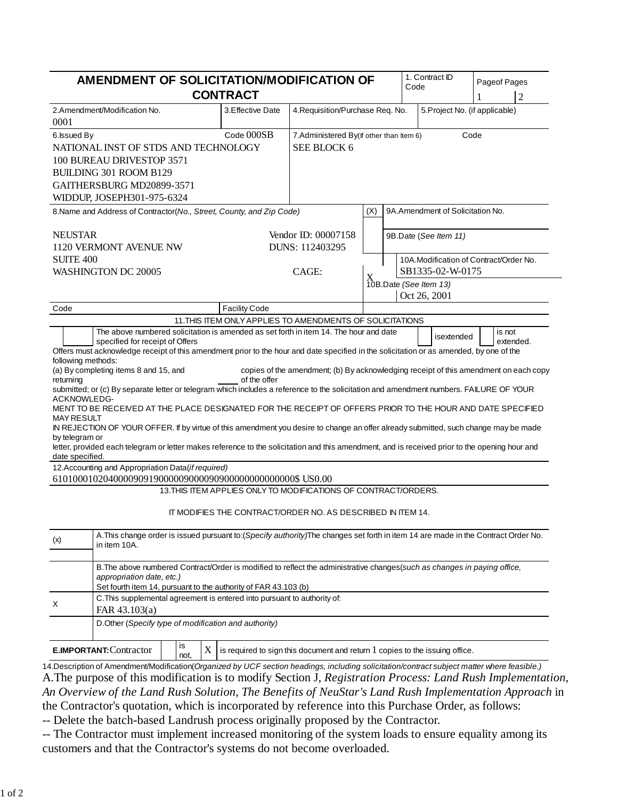|                                               |                                                                                                                          |    | AMENDMENT OF SOLICITATION/MODIFICATION OF<br><b>CONTRACT</b>                                                                                                                                                                                                                                                                                                                                                |                                                        |     | 1. Contract ID<br>Code                                                                  | Pageof Pages<br>$\overline{2}$         |
|-----------------------------------------------|--------------------------------------------------------------------------------------------------------------------------|----|-------------------------------------------------------------------------------------------------------------------------------------------------------------------------------------------------------------------------------------------------------------------------------------------------------------------------------------------------------------------------------------------------------------|--------------------------------------------------------|-----|-----------------------------------------------------------------------------------------|----------------------------------------|
| 0001                                          | 2.Amendment/Modification No.                                                                                             |    | 3. Effective Date                                                                                                                                                                                                                                                                                                                                                                                           | 4. Requisition/Purchase Req. No.                       |     |                                                                                         | 5. Project No. (if applicable)         |
| 6. Issued By                                  | NATIONAL INST OF STDS AND TECHNOLOGY<br>100 BUREAU DRIVESTOP 3571<br>BUILDING 301 ROOM B129<br>GAITHERSBURG MD20899-3571 |    | Code 000SB                                                                                                                                                                                                                                                                                                                                                                                                  | 7.Administered By(If other than Item 6)<br>SEE BLOCK 6 |     |                                                                                         | Code                                   |
|                                               | WIDDUP, JOSEPH301-975-6324                                                                                               |    | 8. Name and Address of Contractor(No., Street, County, and Zip Code)                                                                                                                                                                                                                                                                                                                                        |                                                        | (X) | 9A.Amendment of Solicitation No.                                                        |                                        |
| <b>NEUSTAR</b><br><b>SUITE 400</b>            | 1120 VERMONT AVENUE NW<br>WASHINGTON DC 20005                                                                            |    |                                                                                                                                                                                                                                                                                                                                                                                                             | Vendor ID: 00007158<br>DUNS: 112403295<br>CAGE:        |     | 9B.Date (See Item 11)<br>SB1335-02-W-0175<br>$X$ 10B.Date (See Item 13)<br>Oct 26, 2001 | 10A.Modification of Contract/Order No. |
| Code                                          |                                                                                                                          |    | <b>Facility Code</b>                                                                                                                                                                                                                                                                                                                                                                                        |                                                        |     |                                                                                         |                                        |
|                                               |                                                                                                                          |    | 11. THIS ITEM ONLY APPLIES TO AMENDMENTS OF SOLICITATIONS                                                                                                                                                                                                                                                                                                                                                   |                                                        |     |                                                                                         |                                        |
| returning<br>ACKNOWLEDG-<br><b>MAY RESULT</b> | (a) By completing items 8 and 15, and                                                                                    |    | of the offer<br>submitted; or (c) By separate letter or telegram which includes a reference to the solicitation and amendment numbers. FAILURE OF YOUR<br>MENT TO BE RECEIVED AT THE PLACE DESIGNATED FOR THE RECEIPT OF OFFERS PRIOR TO THE HOUR AND DATE SPECIFIED<br>IN REJECTION OF YOUR OFFER. If by virtue of this amendment you desire to change an offer already submitted, such change may be made |                                                        |     |                                                                                         |                                        |
|                                               |                                                                                                                          |    | letter, provided each telegram or letter makes reference to the solicitation and this amendment, and is received prior to the opening hour and                                                                                                                                                                                                                                                              |                                                        |     |                                                                                         |                                        |
|                                               | 12. Accounting and Appropriation Data(if required)                                                                       |    |                                                                                                                                                                                                                                                                                                                                                                                                             |                                                        |     |                                                                                         |                                        |
|                                               |                                                                                                                          |    | 13. THIS ITEM APPLIES ONLY TO MODIFICATIONS OF CONTRACT/ORDERS.                                                                                                                                                                                                                                                                                                                                             |                                                        |     |                                                                                         |                                        |
|                                               |                                                                                                                          |    | IT MODIFIES THE CONTRACT/ORDER NO. AS DESCRIBED IN ITEM 14.                                                                                                                                                                                                                                                                                                                                                 |                                                        |     |                                                                                         |                                        |
|                                               | in item 10A.                                                                                                             |    | A. This change order is issued pursuant to: (Specify authority) The changes set forth in item 14 are made in the Contract Order No.                                                                                                                                                                                                                                                                         |                                                        |     |                                                                                         |                                        |
|                                               | appropriation date, etc.)                                                                                                |    | B. The above numbered Contract/Order is modified to reflect the administrative changes (such as changes in paying office,<br>Set fourth item 14, pursuant to the authority of FAR 43.103 (b)                                                                                                                                                                                                                |                                                        |     |                                                                                         |                                        |
|                                               | FAR 43.103(a)                                                                                                            |    | C. This supplemental agreement is entered into pursuant to authority of:                                                                                                                                                                                                                                                                                                                                    |                                                        |     |                                                                                         |                                        |
| by telegram or<br>date specified.<br>(x)<br>X |                                                                                                                          | is | D.Other (Specify type of modification and authority)                                                                                                                                                                                                                                                                                                                                                        |                                                        |     |                                                                                         |                                        |

A.The purpose of this modification is to modify Section J, *Registration Process: Land Rush Implementation, An Overview of the Land Rush Solution, The Benefits of NeuStar's Land Rush Implementation Approach* in the Contractor's quotation, which is incorporated by reference into this Purchase Order, as follows:

-- Delete the batch-based Landrush process originally proposed by the Contractor.

-- The Contractor must implement increased monitoring of the system loads to ensure equality among its customers and that the Contractor's systems do not become overloaded.